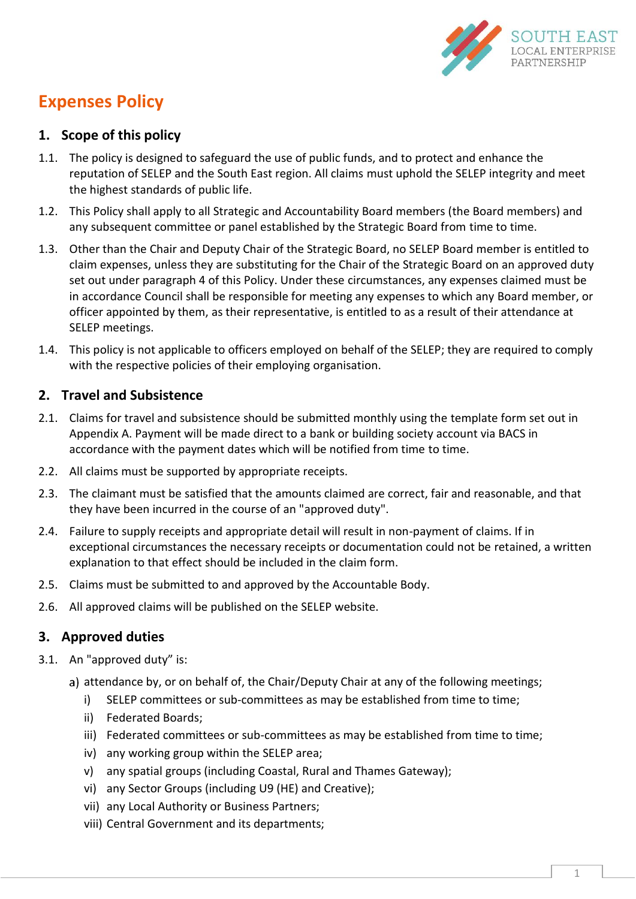

# **Expenses Policy**

## **1. Scope of this policy**

- 1.1. The policy is designed to safeguard the use of public funds, and to protect and enhance the reputation of SELEP and the South East region. All claims must uphold the SELEP integrity and meet the highest standards of public life.
- 1.2. This Policy shall apply to all Strategic and Accountability Board members (the Board members) and any subsequent committee or panel established by the Strategic Board from time to time.
- 1.3. Other than the Chair and Deputy Chair of the Strategic Board, no SELEP Board member is entitled to claim expenses, unless they are substituting for the Chair of the Strategic Board on an approved duty set out under paragraph 4 of this Policy. Under these circumstances, any expenses claimed must be in accordance Council shall be responsible for meeting any expenses to which any Board member, or officer appointed by them, as their representative, is entitled to as a result of their attendance at SELEP meetings.
- 1.4. This policy is not applicable to officers employed on behalf of the SELEP; they are required to comply with the respective policies of their employing organisation.

## **2. Travel and Subsistence**

- 2.1. Claims for travel and subsistence should be submitted monthly using the template form set out in Appendix A. Payment will be made direct to a bank or building society account via BACS in accordance with the payment dates which will be notified from time to time.
- 2.2. All claims must be supported by appropriate receipts.
- 2.3. The claimant must be satisfied that the amounts claimed are correct, fair and reasonable, and that they have been incurred in the course of an "approved duty".
- 2.4. Failure to supply receipts and appropriate detail will result in non-payment of claims. If in exceptional circumstances the necessary receipts or documentation could not be retained, a written explanation to that effect should be included in the claim form.
- 2.5. Claims must be submitted to and approved by the Accountable Body.
- 2.6. All approved claims will be published on the SELEP website.

# **3. Approved duties**

- 3.1. An "approved duty" is:
	- a) attendance by, or on behalf of, the Chair/Deputy Chair at any of the following meetings;
		- i) SELEP committees or sub-committees as may be established from time to time;
		- ii) Federated Boards;
		- iii) Federated committees or sub-committees as may be established from time to time;
		- iv) any working group within the SELEP area;
		- v) any spatial groups (including Coastal, Rural and Thames Gateway);
		- vi) any Sector Groups (including U9 (HE) and Creative);
		- vii) any Local Authority or Business Partners;
		- viii) Central Government and its departments;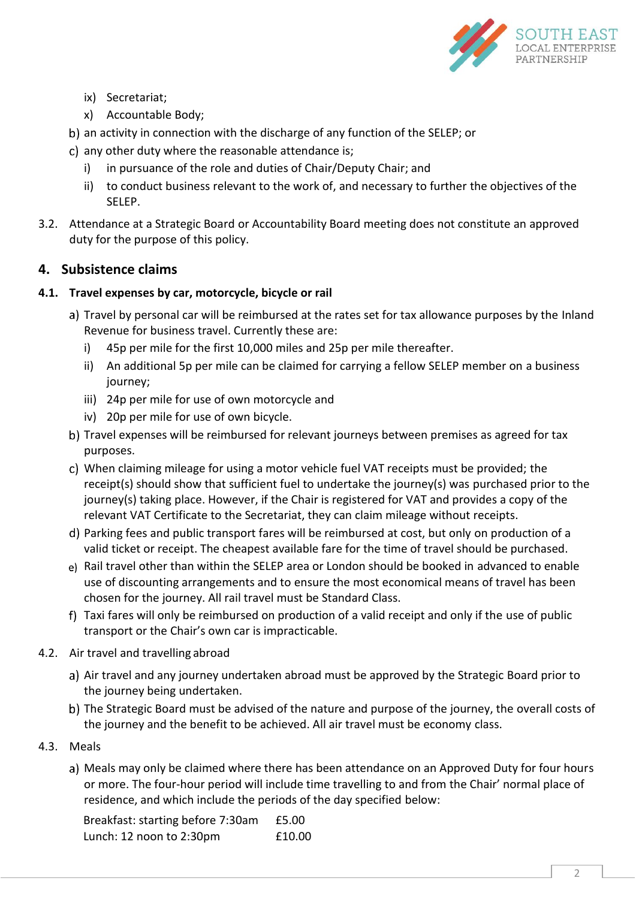

- ix) Secretariat;
- x) Accountable Body;
- b) an activity in connection with the discharge of any function of the SELEP; or
- c) any other duty where the reasonable attendance is;
	- i) in pursuance of the role and duties of Chair/Deputy Chair; and
	- ii) to conduct business relevant to the work of, and necessary to further the objectives of the SELEP.
- 3.2. Attendance at a Strategic Board or Accountability Board meeting does not constitute an approved duty for the purpose of this policy.

# **4. Subsistence claims**

#### **4.1. Travel expenses by car, motorcycle, bicycle or rail**

- a) Travel by personal car will be reimbursed at the rates set for tax allowance purposes by the Inland Revenue for business travel. Currently these are:
	- i) 45p per mile for the first 10,000 miles and 25p per mile thereafter.
	- ii) An additional 5p per mile can be claimed for carrying a fellow SELEP member on a business journey;
	- iii) 24p per mile for use of own motorcycle and
	- iv) 20p per mile for use of own bicycle.
- b) Travel expenses will be reimbursed for relevant journeys between premises as agreed for tax purposes.
- When claiming mileage for using a motor vehicle fuel VAT receipts must be provided; the receipt(s) should show that sufficient fuel to undertake the journey(s) was purchased prior to the journey(s) taking place. However, if the Chair is registered for VAT and provides a copy of the relevant VAT Certificate to the Secretariat, they can claim mileage without receipts.
- Parking fees and public transport fares will be reimbursed at cost, but only on production of a valid ticket or receipt. The cheapest available fare for the time of travel should be purchased.
- e) Rail travel other than within the SELEP area or London should be booked in advanced to enable use of discounting arrangements and to ensure the most economical means of travel has been chosen for the journey. All rail travel must be Standard Class.
- f) Taxi fares will only be reimbursed on production of a valid receipt and only if the use of public transport or the Chair's own car is impracticable.
- 4.2. Air travel and travelling abroad
	- a) Air travel and any journey undertaken abroad must be approved by the Strategic Board prior to the journey being undertaken.
	- b) The Strategic Board must be advised of the nature and purpose of the journey, the overall costs of the journey and the benefit to be achieved. All air travel must be economy class.
- 4.3. Meals
	- a) Meals may only be claimed where there has been attendance on an Approved Duty for four hours or more. The four-hour period will include time travelling to and from the Chair' normal place of residence, and which include the periods of the day specified below:

Breakfast: starting before 7:30am £5.00 Lunch: 12 noon to 2:30pm £10.00